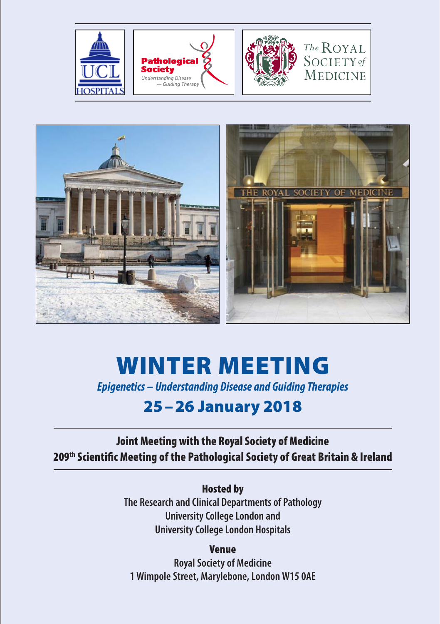



# Winter Meeting

*Epigenetics – Understanding Disease and Guiding Therapies*

# 25–26 January 2018

Joint Meeting with the Royal Society of Medicine 209th Scientific Meeting of the Pathological Society of Great Britain & Ireland

> Hosted by **The Research and Clinical Departments of Pathology University College London and University College London Hospitals**

Venue **Royal Society of Medicine 1 Wimpole Street, Marylebone, London W15 0AE**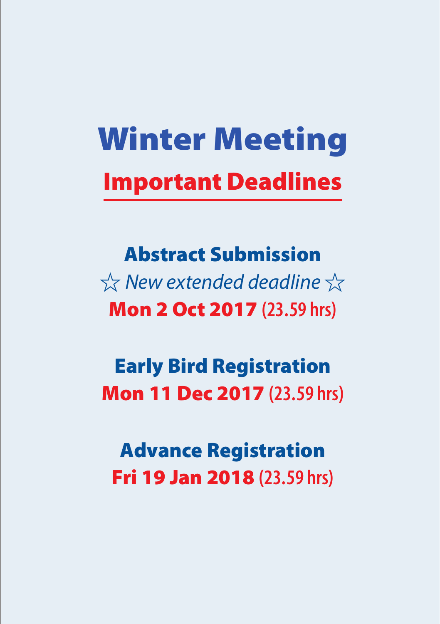# Winter Meeting Important Deadlines

Abstract Submission  $\chi$  *New extended deadline*  $\chi$ Mon 2 Oct 2017 **(23.59 hrs)**

Early Bird Registration Mon 11 Dec 2017 **(23.59 hrs)**

Advance Registration Fri 19 Jan 2018 **(23.59 hrs)**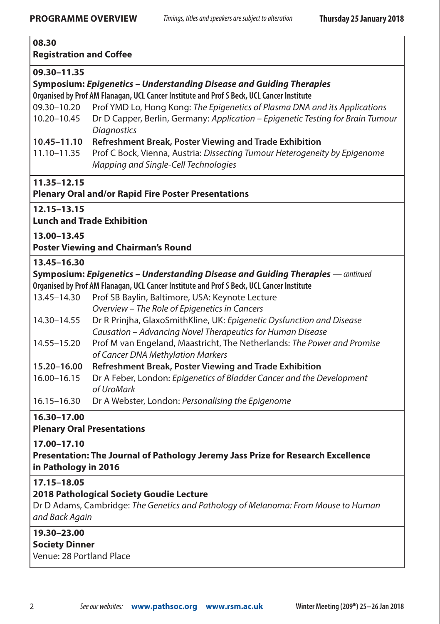| 08.30<br><b>Registration and Coffee</b>                                            |                                                                                                                                                                   |  |  |
|------------------------------------------------------------------------------------|-------------------------------------------------------------------------------------------------------------------------------------------------------------------|--|--|
| 09.30-11.35                                                                        | Symposium: Epigenetics – Understanding Disease and Guiding Therapies<br>Organised by Prof AM Flanagan, UCL Cancer Institute and Prof S Beck, UCL Cancer Institute |  |  |
| 09.30-10.20                                                                        | Prof YMD Lo, Hong Kong: The Epigenetics of Plasma DNA and its Applications                                                                                        |  |  |
| 10.20-10.45                                                                        | Dr D Capper, Berlin, Germany: Application – Epigenetic Testing for Brain Tumour<br><b>Diagnostics</b>                                                             |  |  |
| 10.45-11.10                                                                        | Refreshment Break, Poster Viewing and Trade Exhibition                                                                                                            |  |  |
| 11.10-11.35                                                                        | Prof C Bock, Vienna, Austria: Dissecting Tumour Heterogeneity by Epigenome<br>Mapping and Single-Cell Technologies                                                |  |  |
| 11.35-12.15                                                                        |                                                                                                                                                                   |  |  |
|                                                                                    | <b>Plenary Oral and/or Rapid Fire Poster Presentations</b>                                                                                                        |  |  |
| 12.15-13.15                                                                        |                                                                                                                                                                   |  |  |
|                                                                                    | <b>Lunch and Trade Exhibition</b>                                                                                                                                 |  |  |
| 13.00-13.45                                                                        |                                                                                                                                                                   |  |  |
|                                                                                    | <b>Poster Viewing and Chairman's Round</b>                                                                                                                        |  |  |
| 13.45-16.30                                                                        |                                                                                                                                                                   |  |  |
|                                                                                    | Symposium: Epigenetics - Understanding Disease and Guiding Therapies - continued                                                                                  |  |  |
|                                                                                    | Organised by Prof AM Flanagan, UCL Cancer Institute and Prof S Beck, UCL Cancer Institute                                                                         |  |  |
| 13.45-14.30                                                                        | Prof SB Baylin, Baltimore, USA: Keynote Lecture                                                                                                                   |  |  |
|                                                                                    | Overview – The Role of Epigenetics in Cancers                                                                                                                     |  |  |
| 14.30-14.55                                                                        | Dr R Prinjha, GlaxoSmithKline, UK: Epigenetic Dysfunction and Disease                                                                                             |  |  |
|                                                                                    | Causation - Advancing Novel Therapeutics for Human Disease                                                                                                        |  |  |
| 14.55-15.20                                                                        | Prof M van Engeland, Maastricht, The Netherlands: The Power and Promise<br>of Cancer DNA Methylation Markers                                                      |  |  |
| 15.20-16.00                                                                        | Refreshment Break, Poster Viewing and Trade Exhibition                                                                                                            |  |  |
| 16.00-16.15                                                                        | Dr A Feber, London: Epigenetics of Bladder Cancer and the Development<br>of UroMark                                                                               |  |  |
| $16.15 - 16.30$                                                                    | Dr A Webster, London: Personalising the Epigenome                                                                                                                 |  |  |
| 16.30-17.00<br><b>Plenary Oral Presentations</b>                                   |                                                                                                                                                                   |  |  |
| 17.00-17.10                                                                        |                                                                                                                                                                   |  |  |
| in Pathology in 2016                                                               | Presentation: The Journal of Pathology Jeremy Jass Prize for Research Excellence                                                                                  |  |  |
| 17.15-18.05                                                                        |                                                                                                                                                                   |  |  |
| 2018 Pathological Society Goudie Lecture                                           |                                                                                                                                                                   |  |  |
| Dr D Adams, Cambridge: The Genetics and Pathology of Melanoma: From Mouse to Human |                                                                                                                                                                   |  |  |
| and Back Again                                                                     |                                                                                                                                                                   |  |  |
| 19.30-23.00                                                                        |                                                                                                                                                                   |  |  |
| <b>Society Dinner</b>                                                              |                                                                                                                                                                   |  |  |
| Venue: 28 Portland Place                                                           |                                                                                                                                                                   |  |  |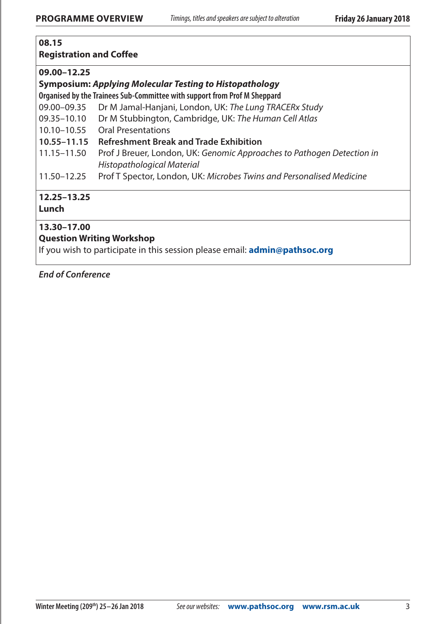#### **08.15**

#### **Registration and Coffee**

#### **09.00–12.25**

#### **Symposium:** *Applying Molecular Testing to Histopathology*

- **Organised by the Trainees Sub-Committee with support from Prof M Sheppard**
- 09.00–09.35 Dr M Jamal-Hanjani, London, UK: *The Lung TRACERx Study*
- 09.35–10.10 Dr M Stubbington, Cambridge, UK: *The Human Cell Atlas*
- 10.10–10.55 Oral Presentations
- **10.55–11.15 Refreshment Break and Trade Exhibition**
- 11.15–11.50 Prof J Breuer, London, UK: *Genomic Approaches to Pathogen Detection in Histopathological Material*
- 11.50–12.25 Prof T Spector, London, UK: *Microbes Twins and Personalised Medicine*

#### **12.25–13.25**

#### **Lunch**

#### **13.30–17.00**

#### **Question Writing Workshop**

If you wish to participate in this session please email: **[admin@pathsoc.org](mailto:admin%40pathsoc.org?subject=Question%20Writing%20Workshop)**

*End of Conference*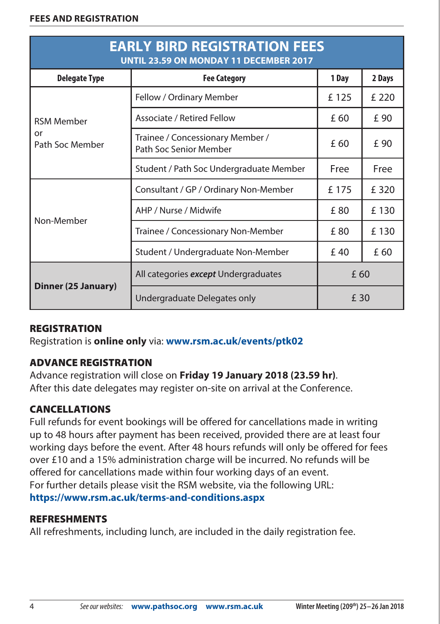| <b>EARLY BIRD REGISTRATION FEES</b><br><b>UNTIL 23.59 ON MONDAY 11 DECEMBER 2017</b> |                                                            |       |        |  |  |
|--------------------------------------------------------------------------------------|------------------------------------------------------------|-------|--------|--|--|
| <b>Delegate Type</b>                                                                 | <b>Fee Category</b>                                        | 1 Day | 2 Days |  |  |
|                                                                                      | Fellow / Ordinary Member                                   | £125  | £ 220  |  |  |
| <b>RSM Member</b>                                                                    | Associate / Retired Fellow                                 | £ 60  | £ 90   |  |  |
| or<br>Path Soc Member                                                                | Trainee / Concessionary Member /<br>Path Soc Senior Member | £ 60  | £ 90   |  |  |
|                                                                                      | Student / Path Soc Undergraduate Member                    | Free  | Free   |  |  |
|                                                                                      | Consultant / GP / Ordinary Non-Member                      | £175  | £ 320  |  |  |
|                                                                                      | AHP / Nurse / Midwife                                      | £80   | £130   |  |  |
| Non-Member                                                                           | Trainee / Concessionary Non-Member                         | £80   | £130   |  |  |
|                                                                                      | Student / Undergraduate Non-Member                         | £40   | £ 60   |  |  |
| Dinner (25 January)                                                                  | All categories except Undergraduates                       | £ 60  |        |  |  |
|                                                                                      | Undergraduate Delegates only                               | £ 30  |        |  |  |

#### **REGISTRATION**

Registration is **online only** via: **[www.rsm.ac.uk/events/ptk02](http://www.rsm.ac.uk/events/ptk02)**

#### Advance registration

Advance registration will close on **Friday 19 January 2018 (23.59 hr)**. After this date delegates may register on-site on arrival at the Conference.

#### Cancellations

Full refunds for event bookings will be offered for cancellations made in writing up to 48 hours after payment has been received, provided there are at least four working days before the event. After 48 hours refunds will only be offered for fees over £10 and a 15% administration charge will be incurred. No refunds will be offered for cancellations made within four working days of an event. For further details please visit the RSM website, via the following URL: **<https://www.rsm.ac.uk/terms-and-conditions.aspx>**

#### **REFRESHMENTS**

All refreshments, including lunch, are included in the daily registration fee.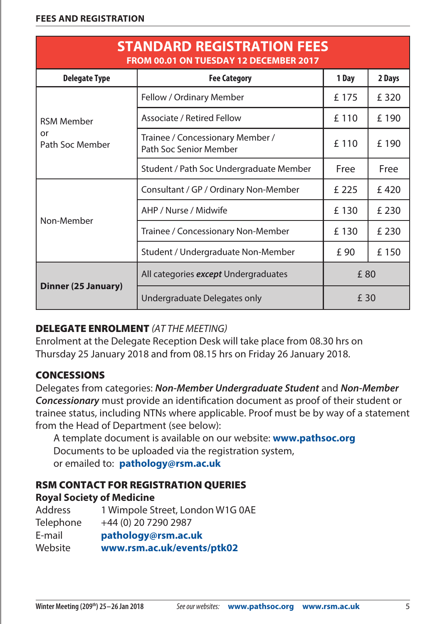| <b>STANDARD REGISTRATION FEES</b><br>FROM 00.01 ON TUESDAY 12 DECEMBER 2017 |                                                            |       |        |  |  |
|-----------------------------------------------------------------------------|------------------------------------------------------------|-------|--------|--|--|
| <b>Delegate Type</b>                                                        | <b>Fee Category</b>                                        | 1 Day | 2 Days |  |  |
|                                                                             | Fellow / Ordinary Member                                   | £175  | £ 320  |  |  |
| <b>RSM Member</b>                                                           | Associate / Retired Fellow                                 | £110  | £190   |  |  |
| or<br>Path Soc Member                                                       | Trainee / Concessionary Member /<br>Path Soc Senior Member | £110  | £ 190  |  |  |
|                                                                             | Student / Path Soc Undergraduate Member                    | Free  | Free   |  |  |
|                                                                             | Consultant / GP / Ordinary Non-Member                      | £225  | £420   |  |  |
| Non-Member                                                                  | AHP / Nurse / Midwife                                      | £130  | £ 230  |  |  |
|                                                                             | Trainee / Concessionary Non-Member                         | £130  | £ 230  |  |  |
|                                                                             | Student / Undergraduate Non-Member                         | £ 90  | £150   |  |  |
| Dinner (25 January)                                                         | All categories except Undergraduates                       | £80   |        |  |  |
|                                                                             | Undergraduate Delegates only                               | £ 30  |        |  |  |

#### DELEGATE ENROLMENT *(AT THE MEETING)*

Enrolment at the Delegate Reception Desk will take place from 08.30 hrs on Thursday 25 January 2018 and from 08.15 hrs on Friday 26 January 2018.

#### **CONCESSIONS**

Delegates from categories: *Non-Member Undergraduate Student* and *Non-Member Concessionary* must provide an identification document as proof of their student or trainee status, including NTNs where applicable. Proof must be by way of a statement from the Head of Department (see below):

A template document is available on our website: **[www.pathsoc.org](http://www.pathsoc.org)** Documents to be uploaded via the registration system, or emailed to: **[pathology@rsm.ac.uk](mailto:pathology%40rsm.ac.uk?subject=Winter%20Meeting%3A%20Concessions)**

#### RSM Contact for Registration Queries **Royal Society of Medicine**

| 1 Wimpole Street, London W1G 0AE |
|----------------------------------|
| +44 (0) 20 7290 2987             |
| pathology@rsm.ac.uk              |
| www.rsm.ac.uk/events/ptk02       |
|                                  |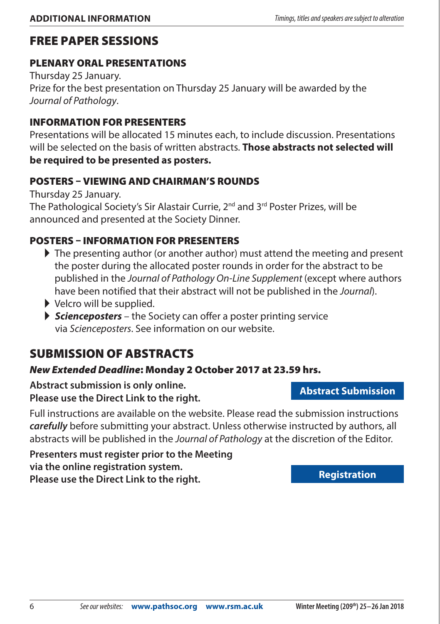## Free Paper Sessions

#### PLENARY Oral PresentaTions

Thursday 25 January. Prize for the best presentation on Thursday 25 January will be awarded by the *Journal of Pathology*.

#### Information for presenters

Presentations will be allocated 15 minutes each, to include discussion. Presentations will be selected on the basis of written abstracts. **Those abstracts not selected will be required to be presented as posters.**

#### Posters – Viewing and Chairman's Rounds

Thursday 25 January.

The Pathological Society's Sir Alastair Currie, 2<sup>nd</sup> and 3<sup>rd</sup> Poster Prizes, will be announced and presented at the Society Dinner.

#### Posters – Information for presenters

- $\blacktriangleright$  The presenting author (or another author) must attend the meeting and present the poster during the allocated poster rounds in order for the abstract to be published in the *Journal of Pathology On-Line Supplement* (except where authors have been notified that their abstract will not be published in the *Journal*).
- $\blacktriangleright$  Velcro will be supplied.
- **F Scienceposters** the Society can offer a poster printing service via *Scienceposters*. See information on our website.

# SURMISSION OF ARSTRACTS

#### *New Extended Deadline*: Monday 2 October 2017 at 23.59 hrs.

**Abstract submission is only online. Please use the Direct Link to the right.**

Full instructions are available on the website. Please read the submission instructions *carefully* before submitting your abstract. Unless otherwise instructed by authors, all abstracts will be published in the *Journal of Pathology* at the discretion of the Editor.

**Presenters must register prior to the Meeting via the online registration system. Please use the Direct Link to the right.**

**[Abstract Submission](https://www5.shocklogic.com/scripts/jmevent/Abstract.asp?Client_Id=%27PATHSOC%27&Project_Id=%27WM2018%27&Form_Id=&Language_Code=)**

**[Registration](http://www.rsm.ac.uk/events/ptk02)**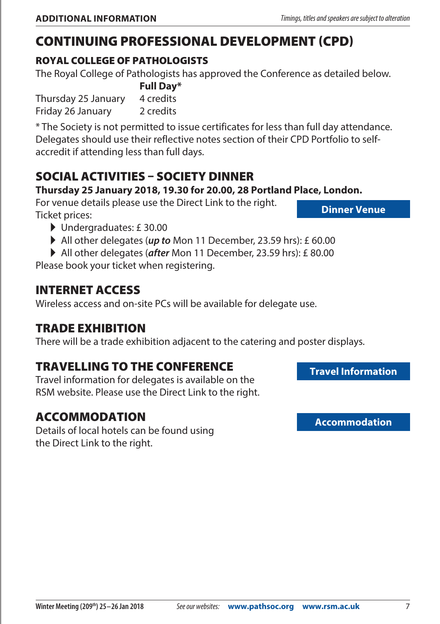# Continuing Professional Development (CPD)

#### Royal College of Pathologists

The Royal College of Pathologists has approved the Conference as detailed below.

**Full Day\*** Thursday 25 January 4 credits Friday 26 January 2 credits

\* The Society is not permitted to issue certificates for less than full day attendance. Delegates should use their reflective notes section of their CPD Portfolio to selfaccredit if attending less than full days.

# Social Activities – Society Dinner

#### **Thursday 25 January 2018, 19.30 for 20.00, 28 Portland Place, London.**

For venue details please use the Direct Link to the right. Ticket prices:

- A Undergraduates: £ 30.00
- All other delegates (*up to* Mon 11 December, 23.59 hrs): £ 60.00

All other delegates (*after* Mon 11 December, 23.59 hrs): £ 80.00

Please book your ticket when registering.

# Internet Access

Wireless access and on-site PCs will be available for delegate use.

## Trade Exhibition

There will be a trade exhibition adjacent to the catering and poster displays.

# Travelling to THE Conference

Travel information for delegates is available on the RSM website. Please use the Direct Link to the right.

## Accommodation

Details of local hotels can be found using the Direct Link to the right.

**[Travel Information](https://www.rsm.ac.uk/about-us/contact-us.aspx)**



**[Dinner Venue](http://www.itavenues.co.uk/venues/28-portland-place)**